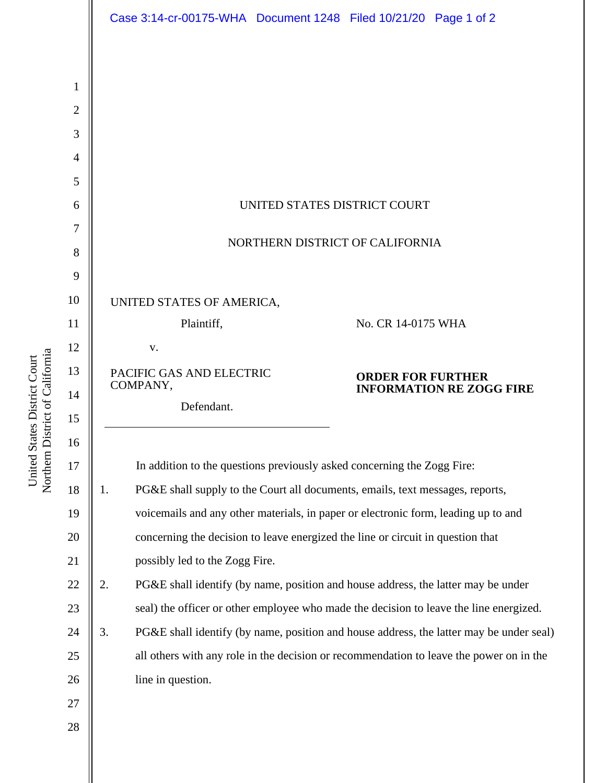|                |                                                                                                     | Case 3:14-cr-00175-WHA  Document 1248  Filed 10/21/20  Page 1 of 2 |  |                    |  |
|----------------|-----------------------------------------------------------------------------------------------------|--------------------------------------------------------------------|--|--------------------|--|
|                |                                                                                                     |                                                                    |  |                    |  |
| 1              |                                                                                                     |                                                                    |  |                    |  |
| $\overline{2}$ |                                                                                                     |                                                                    |  |                    |  |
| 3              |                                                                                                     |                                                                    |  |                    |  |
| 4              |                                                                                                     |                                                                    |  |                    |  |
| 5              |                                                                                                     |                                                                    |  |                    |  |
| 6              | UNITED STATES DISTRICT COURT                                                                        |                                                                    |  |                    |  |
| 7              |                                                                                                     |                                                                    |  |                    |  |
| 8              | NORTHERN DISTRICT OF CALIFORNIA                                                                     |                                                                    |  |                    |  |
| 9              |                                                                                                     |                                                                    |  |                    |  |
| 10             | UNITED STATES OF AMERICA,                                                                           |                                                                    |  |                    |  |
| 11             | Plaintiff,                                                                                          |                                                                    |  | No. CR 14-0175 WHA |  |
| 12             | V.                                                                                                  |                                                                    |  |                    |  |
| 13<br>14       | PACIFIC GAS AND ELECTRIC<br><b>ORDER FOR FURTHER</b><br>COMPANY,<br><b>INFORMATION RE ZOGG FIRE</b> |                                                                    |  |                    |  |
| 15             | Defendant.                                                                                          |                                                                    |  |                    |  |
| 16             |                                                                                                     |                                                                    |  |                    |  |
| 17             | In addition to the questions previously asked concerning the Zogg Fire:                             |                                                                    |  |                    |  |
| 18             | 1.<br>PG&E shall supply to the Court all documents, emails, text messages, reports,                 |                                                                    |  |                    |  |
| 19             | voicemails and any other materials, in paper or electronic form, leading up to and                  |                                                                    |  |                    |  |
| 20             | concerning the decision to leave energized the line or circuit in question that                     |                                                                    |  |                    |  |
| 21             | possibly led to the Zogg Fire.                                                                      |                                                                    |  |                    |  |
| 22             | 2.<br>PG&E shall identify (by name, position and house address, the latter may be under             |                                                                    |  |                    |  |
| 23             | seal) the officer or other employee who made the decision to leave the line energized.              |                                                                    |  |                    |  |
| 24             | 3.<br>PG&E shall identify (by name, position and house address, the latter may be under seal)       |                                                                    |  |                    |  |
| 25             | all others with any role in the decision or recommendation to leave the power on in the             |                                                                    |  |                    |  |
| 26             | line in question.                                                                                   |                                                                    |  |                    |  |
| 27             |                                                                                                     |                                                                    |  |                    |  |
| 28             |                                                                                                     |                                                                    |  |                    |  |
|                |                                                                                                     |                                                                    |  |                    |  |

United States District Court<br>Northern District of California Northern District of California United States District Court